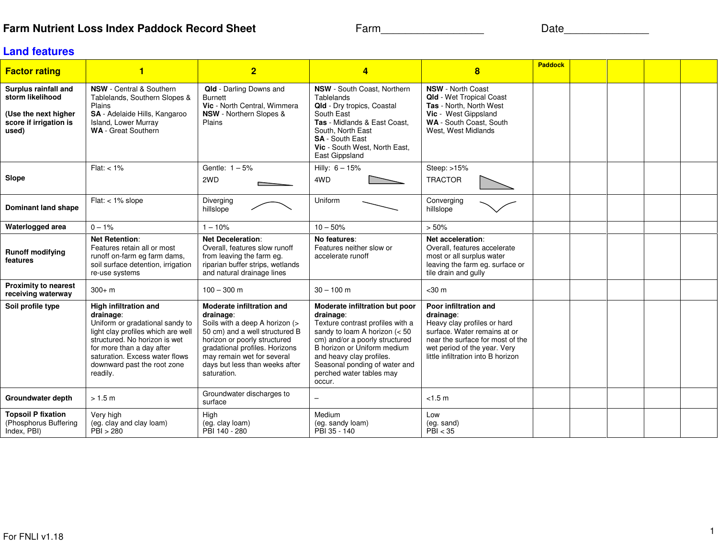## **Farm Nutrient Loss Index Paddock Record Sheet**

Farm\_\_\_\_\_\_\_\_\_\_\_\_\_\_\_\_\_ Date\_\_\_\_\_\_\_\_\_\_\_\_\_\_

## **Land features**

| <b>Factor rating</b>                                                                                | 1                                                                                                                                                                                                                                                      | $\overline{2}$                                                                                                                                                                                                                                                     | 4                                                                                                                                                                                                                                                                                      | $\overline{\mathbf{8}}$                                                                                                                                                                                     | <b>Paddock</b> |  |  |
|-----------------------------------------------------------------------------------------------------|--------------------------------------------------------------------------------------------------------------------------------------------------------------------------------------------------------------------------------------------------------|--------------------------------------------------------------------------------------------------------------------------------------------------------------------------------------------------------------------------------------------------------------------|----------------------------------------------------------------------------------------------------------------------------------------------------------------------------------------------------------------------------------------------------------------------------------------|-------------------------------------------------------------------------------------------------------------------------------------------------------------------------------------------------------------|----------------|--|--|
| Surplus rainfall and<br>storm likelihood<br>(Use the next higher<br>score if irrigation is<br>used) | <b>NSW</b> - Central & Southern<br>Tablelands, Southern Slopes &<br>Plains<br>SA - Adelaide Hills, Kangaroo<br>Island, Lower Murray<br><b>WA</b> - Great Southern                                                                                      | Qld - Darling Downs and<br><b>Burnett</b><br>Vic - North Central, Wimmera<br><b>NSW</b> - Northern Slopes &<br>Plains                                                                                                                                              | NSW - South Coast, Northern<br>Tablelands<br>Qld - Dry tropics, Coastal<br>South East<br>Tas - Midlands & East Coast,<br>South, North East<br><b>SA</b> - South East<br>Vic - South West, North East,<br>East Gippsland                                                                | <b>NSW</b> - North Coast<br><b>Qld</b> - Wet Tropical Coast<br>Tas - North, North West<br>Vic - West Gippsland<br>WA - South Coast, South<br>West. West Midlands                                            |                |  |  |
| Slope                                                                                               | $Flat: < 1\%$                                                                                                                                                                                                                                          | Gentle: $1-5%$<br>2WD                                                                                                                                                                                                                                              | Hilly: $6 - 15%$<br>4WD                                                                                                                                                                                                                                                                | Steep: $>15%$<br><b>TRACTOR</b>                                                                                                                                                                             |                |  |  |
| <b>Dominant land shape</b>                                                                          | $Flat: < 1\%$ slope                                                                                                                                                                                                                                    | Diverging<br>hillslope                                                                                                                                                                                                                                             | Uniform                                                                                                                                                                                                                                                                                | Converging<br>hillslope                                                                                                                                                                                     |                |  |  |
| Waterlogged area                                                                                    | $0 - 1\%$                                                                                                                                                                                                                                              | $1 - 10%$                                                                                                                                                                                                                                                          | $10 - 50%$                                                                                                                                                                                                                                                                             | > 50%                                                                                                                                                                                                       |                |  |  |
| <b>Runoff modifying</b><br>features                                                                 | <b>Net Retention:</b><br>Features retain all or most<br>runoff on-farm eg farm dams,<br>soil surface detention, irrigation<br>re-use systems                                                                                                           | <b>Net Deceleration:</b><br>Overall, features slow runoff<br>from leaving the farm eq.<br>riparian buffer strips, wetlands<br>and natural drainage lines                                                                                                           | No features:<br>Features neither slow or<br>accelerate runoff                                                                                                                                                                                                                          | Net acceleration:<br>Overall, features accelerate<br>most or all surplus water<br>leaving the farm eg. surface or<br>tile drain and gully                                                                   |                |  |  |
| <b>Proximity to nearest</b><br>receiving waterway                                                   | $300 + m$                                                                                                                                                                                                                                              | $100 - 300$ m                                                                                                                                                                                                                                                      | $30 - 100$ m                                                                                                                                                                                                                                                                           | $<$ 30 $m$                                                                                                                                                                                                  |                |  |  |
| Soil profile type                                                                                   | High infiltration and<br>drainage:<br>Uniform or gradational sandy to<br>light clay profiles which are well<br>structured. No horizon is wet<br>for more than a day after<br>saturation. Excess water flows<br>downward past the root zone<br>readily. | <b>Moderate infiltration and</b><br>drainage:<br>Soils with a deep A horizon (><br>50 cm) and a well structured B<br>horizon or poorly structured<br>gradational profiles. Horizons<br>may remain wet for several<br>days but less than weeks after<br>saturation. | Moderate infiltration but poor<br>drainage:<br>Texture contrast profiles with a<br>sandy to loam A horizon $(< 50$<br>cm) and/or a poorly structured<br>B horizon or Uniform medium<br>and heavy clay profiles.<br>Seasonal ponding of water and<br>perched water tables may<br>occur. | Poor infiltration and<br>drainage:<br>Heavy clay profiles or hard<br>surface. Water remains at or<br>near the surface for most of the<br>wet period of the year. Very<br>little infiltration into B horizon |                |  |  |
| Groundwater depth                                                                                   | > 1.5 m                                                                                                                                                                                                                                                | Groundwater discharges to<br>surface                                                                                                                                                                                                                               |                                                                                                                                                                                                                                                                                        | < 1.5 m                                                                                                                                                                                                     |                |  |  |
| <b>Topsoil P fixation</b><br>(Phosphorus Buffering<br>Index, PBI)                                   | Very high<br>(eg. clay and clay loam)<br>PBI > 280                                                                                                                                                                                                     | High<br>(eg. clay loam)<br>PBI 140 - 280                                                                                                                                                                                                                           | Medium<br>(eg. sandy loam)<br>PBI 35 - 140                                                                                                                                                                                                                                             | Low<br>(eg. sand)<br>PBI < 35                                                                                                                                                                               |                |  |  |